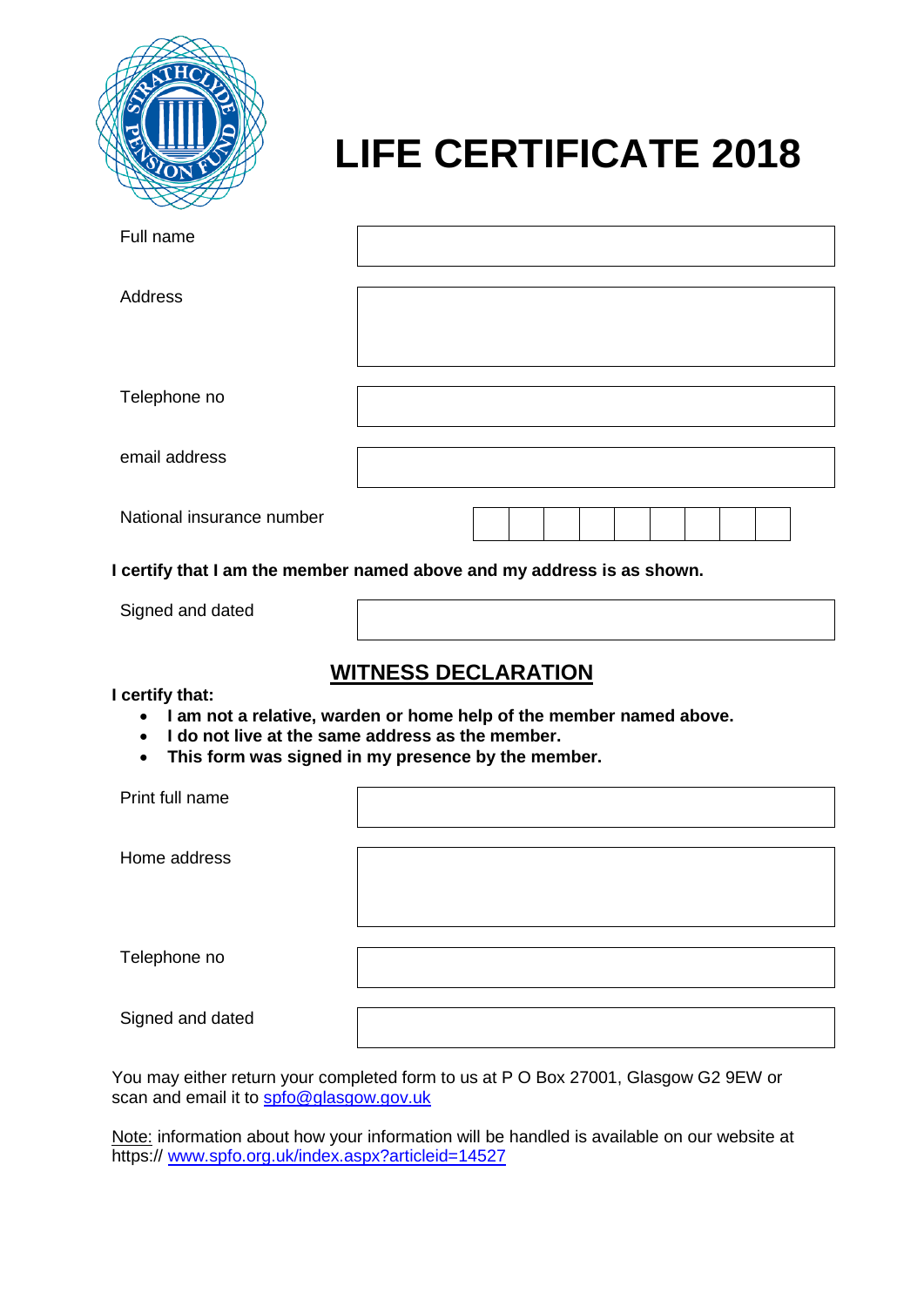

# **LIFE CERTIFICATE 2018**

| Full name                 |  |
|---------------------------|--|
| Address                   |  |
|                           |  |
| Telephone no              |  |
| email address             |  |
| National insurance number |  |

**I certify that I am the member named above and my address is as shown.**

Signed and dated

# **WITNESS DECLARATION**

**I certify that:**

- **I am not a relative, warden or home help of the member named above.**
- **I do not live at the same address as the member.**
- **This form was signed in my presence by the member.**

| Print full name  |  |
|------------------|--|
| Home address     |  |
| Telephone no     |  |
| Signed and dated |  |

You may either return your completed form to us at P O Box 27001, Glasgow G2 9EW or scan and email it to [spfo@glasgow.gov.uk](mailto:spfo@glasgow.gov.uk)

Note: information about how your information will be handled is available on our website at https://www.spfo.org.uk/index.aspx?articleid=14527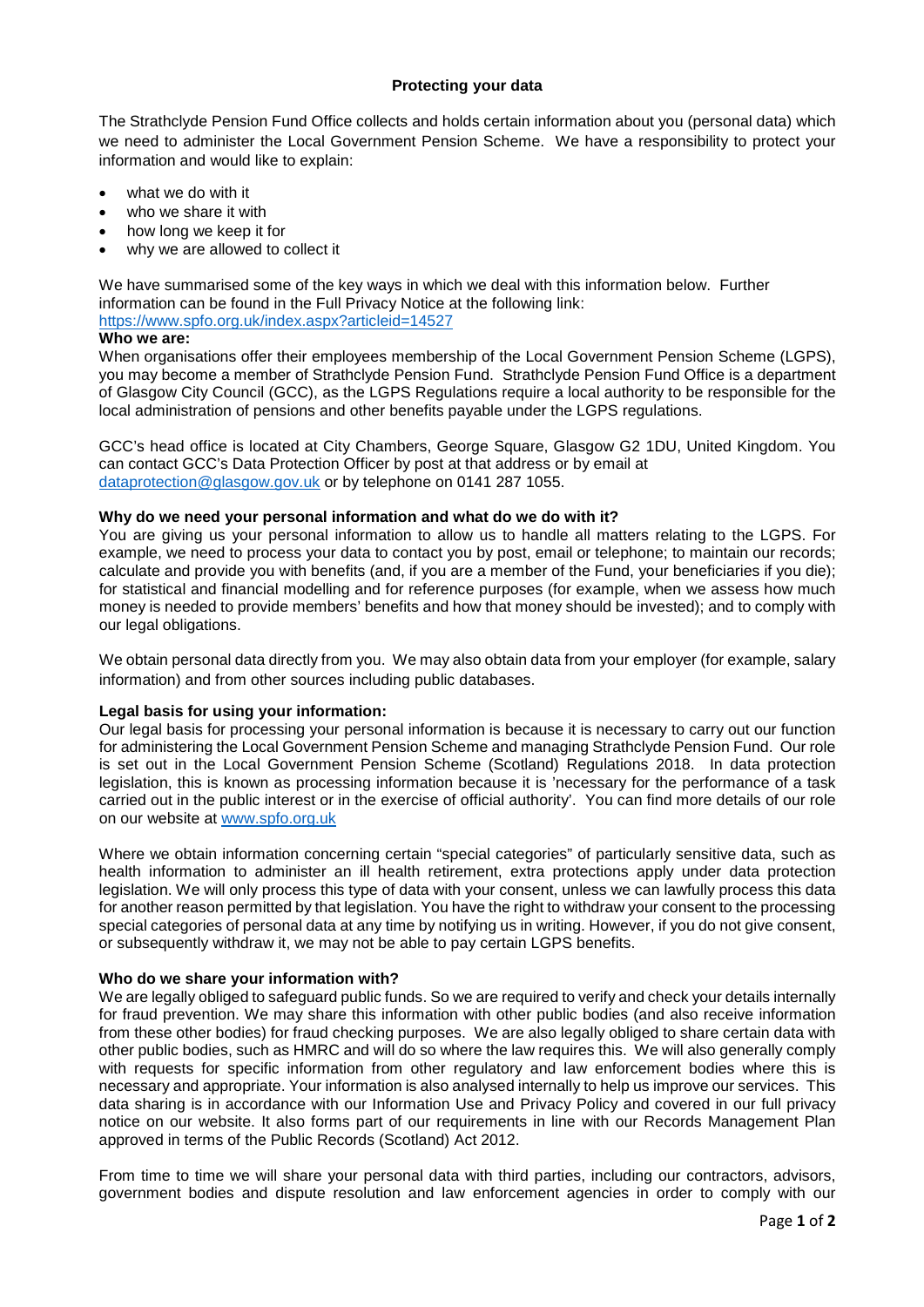## **Protecting your data**

The Strathclyde Pension Fund Office collects and holds certain information about you (personal data) which we need to administer the Local Government Pension Scheme. We have a responsibility to protect your information and would like to explain:

- what we do with it
- who we share it with
- how long we keep it for
- why we are allowed to collect it

We have summarised some of the key ways in which we deal with this information below. Further information can be found in the Full Privacy Notice at the following link: <https://www.spfo.org.uk/index.aspx?articleid=14527>

#### **Who we are:**

When organisations offer their employees membership of the Local Government Pension Scheme (LGPS), you may become a member of Strathclyde Pension Fund. Strathclyde Pension Fund Office is a department of Glasgow City Council (GCC), as the LGPS Regulations require a local authority to be responsible for the local administration of pensions and other benefits payable under the LGPS regulations.

GCC's head office is located at City Chambers, George Square, Glasgow G2 1DU, United Kingdom. You can contact GCC's Data Protection Officer by post at that address or by email at [dataprotection@glasgow.gov.uk](mailto:dataprotection@glasgow.gov.uk) or by telephone on 0141 287 1055.

#### **Why do we need your personal information and what do we do with it?**

You are giving us your personal information to allow us to handle all matters relating to the LGPS. For example, we need to process your data to contact you by post, email or telephone; to maintain our records; calculate and provide you with benefits (and, if you are a member of the Fund, your beneficiaries if you die); for statistical and financial modelling and for reference purposes (for example, when we assess how much money is needed to provide members' benefits and how that money should be invested); and to comply with our legal obligations.

We obtain personal data directly from you. We may also obtain data from your employer (for example, salary information) and from other sources including public databases.

#### **Legal basis for using your information:**

Our legal basis for processing your personal information is because it is necessary to carry out our function for administering the Local Government Pension Scheme and managing Strathclyde Pension Fund. Our role is set out in the Local Government Pension Scheme (Scotland) Regulations 2018. In data protection legislation, this is known as processing information because it is 'necessary for the performance of a task carried out in the public interest or in the exercise of official authority'. You can find more details of our role on our website at [www.spfo.org.uk](http://www.spfo.org.uk/)

Where we obtain information concerning certain "special categories" of particularly sensitive data, such as health information to administer an ill health retirement, extra protections apply under data protection legislation. We will only process this type of data with your consent, unless we can lawfully process this data for another reason permitted by that legislation. You have the right to withdraw your consent to the processing special categories of personal data at any time by notifying us in writing. However, if you do not give consent, or subsequently withdraw it, we may not be able to pay certain LGPS benefits.

#### **Who do we share your information with?**

We are legally obliged to safeguard public funds. So we are required to verify and check your details internally for fraud prevention. We may share this information with other public bodies (and also receive information from these other bodies) for fraud checking purposes. We are also legally obliged to share certain data with other public bodies, such as HMRC and will do so where the law requires this. We will also generally comply with requests for specific information from other regulatory and law enforcement bodies where this is necessary and appropriate. Your information is also analysed internally to help us improve our services. This data sharing is in accordance with our Information Use and Privacy Policy and covered in our full privacy notice on our website. It also forms part of our requirements in line with our Records Management Plan approved in terms of the Public Records (Scotland) Act 2012.

From time to time we will share your personal data with third parties, including our contractors, advisors, government bodies and dispute resolution and law enforcement agencies in order to comply with our